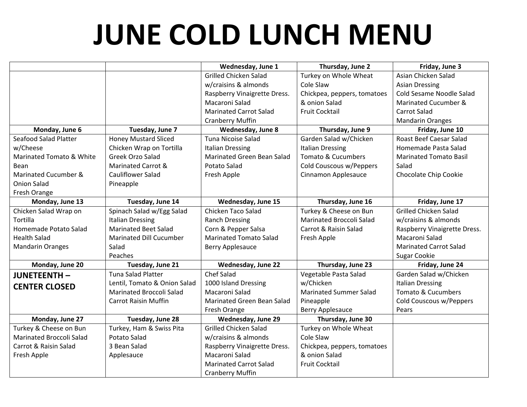## **JUNE COLD LUNCH MENU**

|                          |                              | Wednesday, June 1                 | Thursday, June 2              | Friday, June 3                 |
|--------------------------|------------------------------|-----------------------------------|-------------------------------|--------------------------------|
|                          |                              | <b>Grilled Chicken Salad</b>      | Turkey on Whole Wheat         | Asian Chicken Salad            |
|                          |                              | w/craisins & almonds              | Cole Slaw                     | <b>Asian Dressing</b>          |
|                          |                              | Raspberry Vinaigrette Dress.      | Chickpea, peppers, tomatoes   | Cold Sesame Noodle Salad       |
|                          |                              | Macaroni Salad                    | & onion Salad                 | Marinated Cucumber &           |
|                          |                              | <b>Marinated Carrot Salad</b>     | <b>Fruit Cocktail</b>         | <b>Carrot Salad</b>            |
|                          |                              | <b>Cranberry Muffin</b>           |                               | <b>Mandarin Oranges</b>        |
| Monday, June 6           | Tuesday, June 7              | <b>Wednesday, June 8</b>          | Thursday, June 9              | Friday, June 10                |
| Seafood Salad Platter    | <b>Honey Mustard Sliced</b>  | Tuna Nicoise Salad                | Garden Salad w/Chicken        | <b>Roast Beef Caesar Salad</b> |
| w/Cheese                 | Chicken Wrap on Tortilla     | <b>Italian Dressing</b>           | <b>Italian Dressing</b>       | Homemade Pasta Salad           |
| Marinated Tomato & White | Greek Orzo Salad             | Marinated Green Bean Salad        | Tomato & Cucumbers            | <b>Marinated Tomato Basil</b>  |
| Bean                     | Marinated Carrot &           | Potato Salad                      | Cold Couscous w/Peppers       | Salad                          |
| Marinated Cucumber &     | <b>Cauliflower Salad</b>     | Fresh Apple                       | Cinnamon Applesauce           | Chocolate Chip Cookie          |
| Onion Salad              | Pineapple                    |                                   |                               |                                |
| Fresh Orange             |                              |                                   |                               |                                |
| Monday, June 13          | Tuesday, June 14             | Wednesday, June 15                | Thursday, June 16             | Friday, June 17                |
| Chicken Salad Wrap on    | Spinach Salad w/Egg Salad    | Chicken Taco Salad                | Turkey & Cheese on Bun        | <b>Grilled Chicken Salad</b>   |
| Tortilla                 | <b>Italian Dressing</b>      | <b>Ranch Dressing</b>             | Marinated Broccoli Salad      | w/craisins & almonds           |
| Homemade Potato Salad    | <b>Marinated Beet Salad</b>  | Corn & Pepper Salsa               | Carrot & Raisin Salad         | Raspberry Vinaigrette Dress.   |
| <b>Health Salad</b>      | Marinated Dill Cucumber      | <b>Marinated Tomato Salad</b>     | Fresh Apple                   | Macaroni Salad                 |
| <b>Mandarin Oranges</b>  | Salad                        | Berry Applesauce                  |                               | <b>Marinated Carrot Salad</b>  |
|                          | Peaches                      |                                   |                               | Sugar Cookie                   |
| Monday, June 20          | Tuesday, June 21             | Wednesday, June 22                | Thursday, June 23             | Friday, June 24                |
| <b>JUNETEENTH-</b>       | <b>Tuna Salad Platter</b>    | <b>Chef Salad</b>                 | Vegetable Pasta Salad         | Garden Salad w/Chicken         |
| <b>CENTER CLOSED</b>     | Lentil, Tomato & Onion Salad | 1000 Island Dressing              | w/Chicken                     | <b>Italian Dressing</b>        |
|                          | Marinated Broccoli Salad     | Macaroni Salad                    | <b>Marinated Summer Salad</b> | Tomato & Cucumbers             |
|                          | <b>Carrot Raisin Muffin</b>  | <b>Marinated Green Bean Salad</b> | Pineapple                     | Cold Couscous w/Peppers        |
|                          |                              | Fresh Orange                      | <b>Berry Applesauce</b>       | Pears                          |
| Monday, June 27          | Tuesday, June 28             | Wednesday, June 29                | Thursday, June 30             |                                |
| Turkey & Cheese on Bun   | Turkey, Ham & Swiss Pita     | <b>Grilled Chicken Salad</b>      | Turkey on Whole Wheat         |                                |
| Marinated Broccoli Salad | Potato Salad                 | w/craisins & almonds              | Cole Slaw                     |                                |
| Carrot & Raisin Salad    | 3 Bean Salad                 | Raspberry Vinaigrette Dress.      | Chickpea, peppers, tomatoes   |                                |
| Fresh Apple              | Applesauce                   | Macaroni Salad                    | & onion Salad                 |                                |
|                          |                              | <b>Marinated Carrot Salad</b>     | <b>Fruit Cocktail</b>         |                                |
|                          |                              | <b>Cranberry Muffin</b>           |                               |                                |